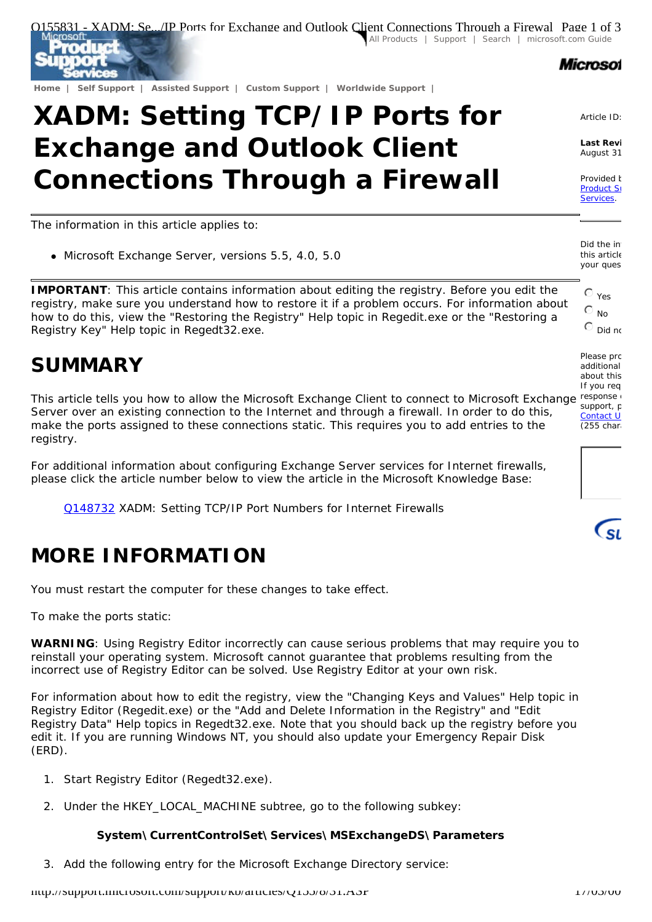

# **XADM: Setting TCP/IP Ports for Exchange and Outlook Client Connections Through a Firewall**

The information in this article applies to:

• Microsoft Exchange Server, versions 5.5, 4.0, 5.0

**IMPORTANT**: This article contains information about editing the registry. Before you edit the registry, make sure you understand how to restore it if a problem occurs. For information about how to do this, view the "Restoring the Registry" Help topic in Regedit.exe or the "Restoring a Registry Key" Help topic in Regedt32.exe.

## **SUMMARY**

This article tells you how to allow the Microsoft Exchange Client to connect to Microsoft Exchange response Server over an existing connection to the Internet and through a firewall. In order to do this, make the ports assigned to these connections static. This requires you to add entries to the registry.

For additional information about configuring Exchange Server services for Internet firewalls, please click the article number below to view the article in the Microsoft Knowledge Base:

Q148732 XADM: Setting TCP/IP Port Numbers for Internet Firewalls

# **MORE INFORMATION**

You must restart the computer for these changes to take effect.

To make the ports static:

**WARNING**: Using Registry Editor incorrectly can cause serious problems that may require you to reinstall your operating system. Microsoft cannot guarantee that problems resulting from the incorrect use of Registry Editor can be solved. Use Registry Editor at your own risk.

For information about how to edit the registry, view the "Changing Keys and Values" Help topic in Registry Editor (Regedit.exe) or the "Add and Delete Information in the Registry" and "Edit Registry Data" Help topics in Regedt32.exe. Note that you should back up the registry before you edit it. If you are running Windows NT, you should also update your Emergency Repair Disk (ERD).

- 1. Start Registry Editor (Regedt32.exe).
- 2. Under the HKEY\_LOCAL\_MACHINE subtree, go to the following subkey:

#### **System\CurrentControlSet\Services\MSExchangeDS\Parameters**

3. Add the following entry for the Microsoft Exchange Directory service:



Article ID:

**Last Revi** August 31

Provided **b** Product St Services.

Did the inf this article your quest

> $\mathcal{O}_{\mathsf{Yes}}$  $\mathcal{O}$  No

Please prc additional about this If you req support, c Contact U  $(255$  chara

 $\epsilon_{\rm SL}$ 

 $\mathbb{C}$  Did not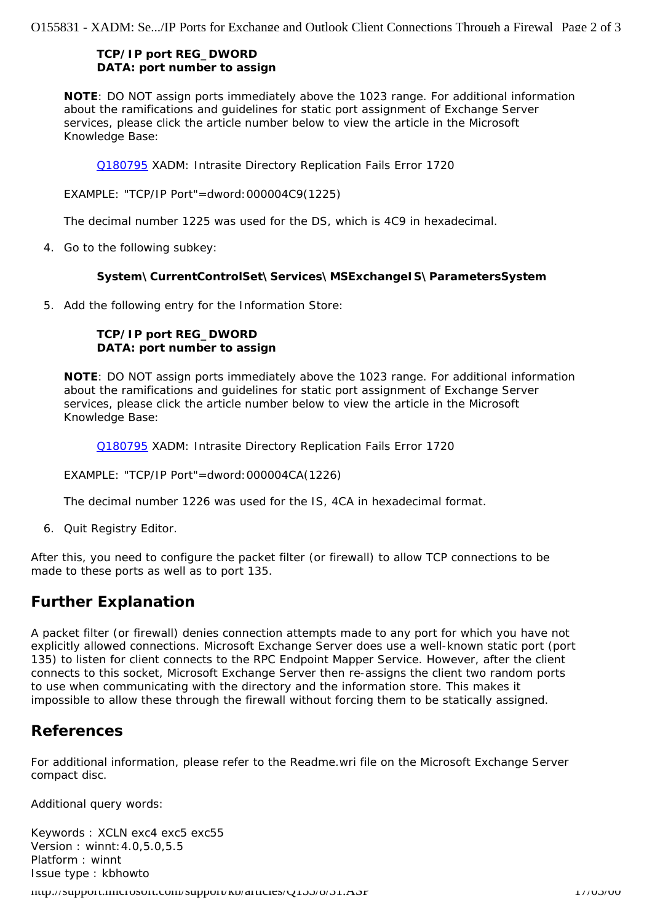Q155831 - XADM: Se.../IP Ports for Exchange and Outlook Client Connections Through a Firewal Page 2 of 3

#### **TCP/IP port REG\_DWORD DATA:** *port number to assign*

**NOTE**: DO NOT assign ports immediately above the 1023 range. For additional information about the ramifications and guidelines for static port assignment of Exchange Server services, please click the article number below to view the article in the Microsoft Knowledge Base:

Q180795 XADM: Intrasite Directory Replication Fails Error 1720

EXAMPLE: "TCP/IP Port"=dword:000004C9(1225)

The decimal number 1225 was used for the DS, which is 4C9 in hexadecimal.

4. Go to the following subkey:

#### **System\CurrentControlSet\Services\MSExchangeIS\ParametersSystem**

5. Add the following entry for the Information Store:

#### **TCP/IP port REG\_DWORD DATA:** *port number to assign*

**NOTE**: DO NOT assign ports immediately above the 1023 range. For additional information about the ramifications and guidelines for static port assignment of Exchange Server services, please click the article number below to view the article in the Microsoft Knowledge Base:

Q180795 XADM: Intrasite Directory Replication Fails Error 1720

#### EXAMPLE: "TCP/IP Port"=dword:000004CA(1226)

The decimal number 1226 was used for the IS, 4CA in hexadecimal format.

6. Quit Registry Editor.

After this, you need to configure the packet filter (or firewall) to allow TCP connections to be made to these ports as well as to port 135.

### **Further Explanation**

A packet filter (or firewall) denies connection attempts made to any port for which you have not explicitly allowed connections. Microsoft Exchange Server does use a well-known static port (port 135) to listen for client connects to the RPC Endpoint Mapper Service. However, after the client connects to this socket, Microsoft Exchange Server then re-assigns the client two random ports to use when communicating with the directory and the information store. This makes it impossible to allow these through the firewall without forcing them to be statically assigned.

### **References**

For additional information, please refer to the Readme.wri file on the Microsoft Exchange Server compact disc.

Additional query words:

Keywords : XCLN exc4 exc5 exc55 Version : winnt:4.0,5.0,5.5 Platform : winnt Issue type : kbhowto

 $h$ ttup://support.microsoft.com/support/kb/articles/Q155/8/31.ASP 17/03/31.ASP 17/03/00